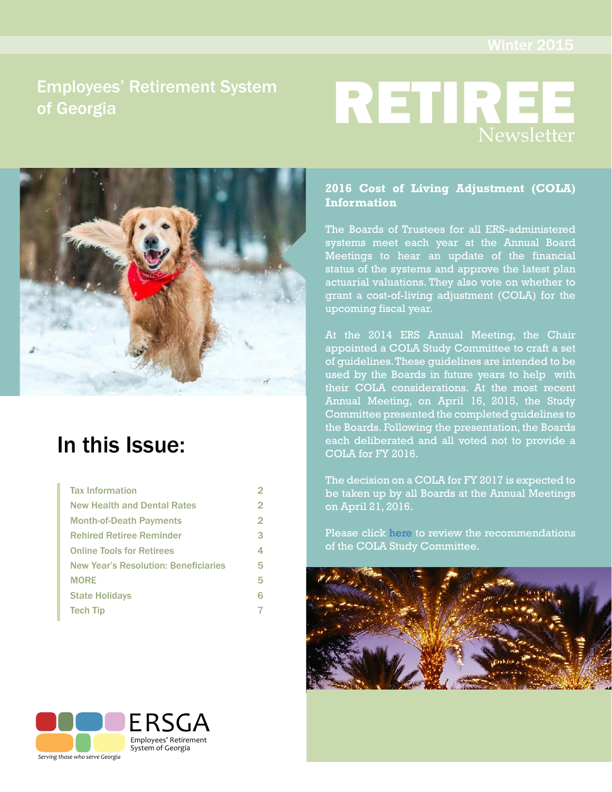# Employees' Retirement System of Georgia





# In this Issue:

| <b>Tax Information</b>                      | 2              |
|---------------------------------------------|----------------|
| <b>New Health and Dental Rates</b>          | 2              |
| <b>Month-of-Death Payments</b>              | $\overline{2}$ |
| <b>Rehired Retiree Reminder</b>             | 3              |
| <b>Online Tools for Retirees</b>            | 4              |
| <b>New Year's Resolution: Beneficiaries</b> | 5              |
| <b>MORE</b>                                 | 5              |
| <b>State Holidays</b>                       | 6              |
| <b>Tech Tip</b>                             | 7              |
|                                             |                |

### **2016 Cost of Living Adjustment (COLA) Information**

The Boards of Trustees for all ERS-administered systems meet each year at the Annual Board Meetings to hear an update of the financial status of the systems and approve the latest plan actuarial valuations. They also vote on whether to grant a cost-of-living adjustment (COLA) for the upcoming fiscal year.

At the 2014 ERS Annual Meeting, the Chair appointed a COLA Study Committee to craft a set of guidelines. These guidelines are intended to be used by the Boards in future years to help with their COLA considerations. At the most recent Annual Meeting, on April 16, 2015, the Study Committee presented the completed guidelines to the Boards. Following the presentation, the Boards each deliberated and all voted not to provide a COLA for FY 2016.

The decision on a COLA for FY 2017 is expected to be taken up by all Boards at the Annual Meetings on April 21, 2016.

Please click [here](http://www.ers.ga.gov/Docs/Formsandpubs/COLAModel.pdf) to review the recommendations of the COLA Study Committee.



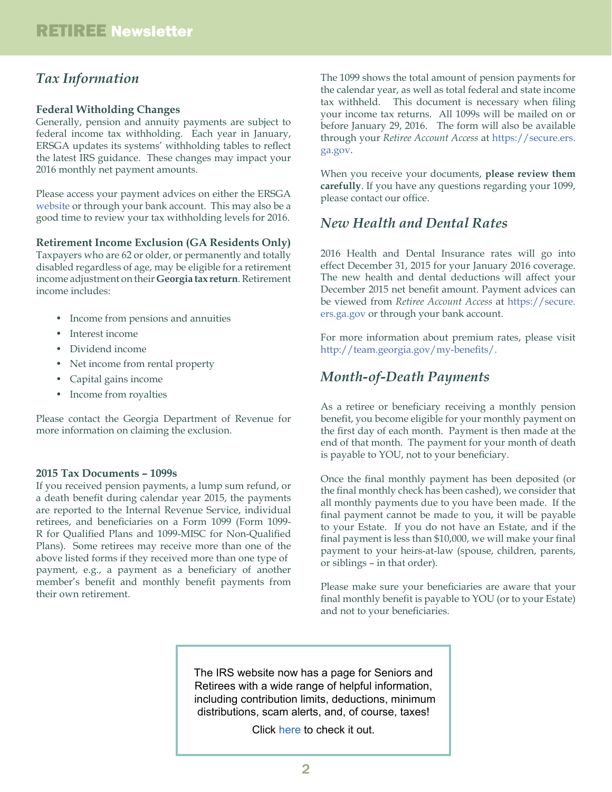## *Tax Information*

#### **Federal Witholding Changes**

Generally, pension and annuity payments are subject to federal income tax withholding. Each year in January, ERSGA updates its systems' withholding tables to reflect the latest IRS guidance. These changes may impact your 2016 monthly net payment amounts.

Please access your payment advices on either the ERSGA [website](http://www.ers.ga.gov) or through your bank account. This may also be a good time to review your tax withholding levels for 2016.

#### **Retirement Income Exclusion (GA Residents Only)**

Taxpayers who are 62 or older, or permanently and totally disabled regardless of age, may be eligible for a retirement income adjustment on their **Georgia tax return**. Retirement income includes:

- Income from pensions and annuities
- Interest income
- Dividend income
- Net income from rental property
- Capital gains income
- Income from royalties

Please contact the Georgia Department of Revenue for more information on claiming the exclusion.

#### **2015 Tax Documents – 1099s**

If you received pension payments, a lump sum refund, or a death benefit during calendar year 2015, the payments are reported to the Internal Revenue Service, individual retirees, and beneficiaries on a Form 1099 (Form 1099- R for Qualified Plans and 1099-MISC for Non-Qualified Plans). Some retirees may receive more than one of the above listed forms if they received more than one type of payment, e.g., a payment as a beneficiary of another member's benefit and monthly benefit payments from their own retirement.

The 1099 shows the total amount of pension payments for the calendar year, as well as total federal and state income tax withheld. This document is necessary when filing your income tax returns. All 1099s will be mailed on or before January 29, 2016. The form will also be available through your *Retiree Account Access* at [https://secure.ers.](https://secure.ers.ga.gov/) [ga.gov](https://secure.ers.ga.gov/)[.](https://secure.ers.ga.gov/)

When you receive your documents, **please review them carefully**. If you have any questions regarding your 1099, please contact our office.

### *New Health and Dental Rates*

2016 Health and Dental Insurance rates will go into effect December 31, 2015 for your January 2016 coverage. The new health and dental deductions will affect your December 2015 net benefit amount. Payment advices can be viewed from *Retiree Account Access* at [https://secure.](https://secure.ers.ga.gov/) [ers.ga.gov](https://secure.ers.ga.gov/) or through your bank account.

For more information about premium rates, please visit [http://team.georgia.gov/my-benefits/.](http://team.georgia.gov/my-benefits/)

### *Month-of-Death Payments*

As a retiree or beneficiary receiving a monthly pension benefit, you become eligible for your monthly payment on the first day of each month. Payment is then made at the end of that month. The payment for your month of death is payable to YOU, not to your beneficiary.

Once the final monthly payment has been deposited (or the final monthly check has been cashed), we consider that all monthly payments due to you have been made. If the final payment cannot be made to you, it will be payable to your Estate. If you do not have an Estate, and if the final payment is less than \$10,000, we will make your final payment to your heirs-at-law (spouse, children, parents, or siblings – in that order).

Please make sure your beneficiaries are aware that your final monthly benefit is payable to YOU (or to your Estate) and not to your beneficiaries.

The IRS website now has a page for Seniors and Retirees with a wide range of helpful information, including contribution limits, deductions, minimum distributions, scam alerts, and, of course, taxes!

Click [here](https://www.irs.gov/Individuals/Seniors-&-Retirees) to check it out.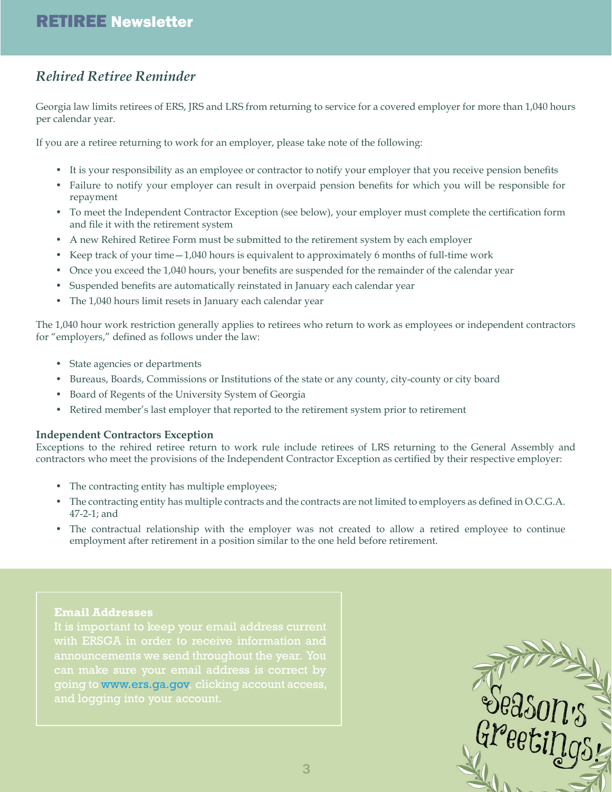## *Rehired Retiree Reminder*

Georgia law limits retirees of ERS, JRS and LRS from returning to service for a covered employer for more than 1,040 hours per calendar year.

If you are a retiree returning to work for an employer, please take note of the following:

- It is your responsibility as an employee or contractor to notify your employer that you receive pension benefits
- Failure to notify your employer can result in overpaid pension benefits for which you will be responsible for repayment
- To meet the Independent Contractor Exception (see below), your employer must complete the certification form and file it with the retirement system
- A new Rehired Retiree Form must be submitted to the retirement system by each employer
- Keep track of your time—1,040 hours is equivalent to approximately 6 months of full-time work
- Once you exceed the 1,040 hours, your benefits are suspended for the remainder of the calendar year
- Suspended benefits are automatically reinstated in January each calendar year
- The 1,040 hours limit resets in January each calendar year

The 1,040 hour work restriction generally applies to retirees who return to work as employees or independent contractors for "employers," defined as follows under the law:

- State agencies or departments
- Bureaus, Boards, Commissions or Institutions of the state or any county, city-county or city board
- Board of Regents of the University System of Georgia
- Retired member's last employer that reported to the retirement system prior to retirement

#### **Independent Contractors Exception**

Exceptions to the rehired retiree return to work rule include retirees of LRS returning to the General Assembly and contractors who meet the provisions of the Independent Contractor Exception as certified by their respective employer:

- The contracting entity has multiple employees;
- The contracting entity has multiple contracts and the contracts are not limited to employers as defined in O.C.G.A. 47-2-1; and
- The contractual relationship with the employer was not created to allow a retired employee to continue employment after retirement in a position similar to the one held before retirement.

#### **Email Addresses**

with ERSGA in order to receive information and going to [www.ers.ga.gov,](http://www.ers.ga.gov) clicking account access, and logging into your account.

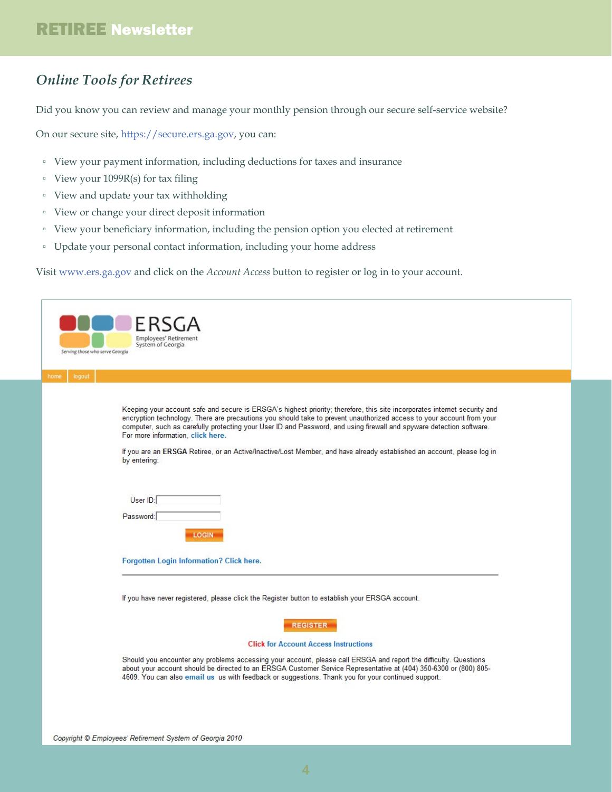# *Online Tools for Retirees*

Did you know you can review and manage your monthly pension through our secure self-service website?

On our secure site, [https://secure.ers.ga.gov](https://secure.ers.ga.gov/), you can:

- View your payment information, including deductions for taxes and insurance
- View your 1099R(s) for tax filing
- View and update your tax withholding
- View or change your direct deposit information
- View your beneficiary information, including the pension option you elected at retirement
- Update your personal contact information, including your home address

Visit [www.ers.ga.gov](http://ers.ga.gov) and click on the *Account Access* button to register or log in to your account.

| Employees' Retirement<br>System of Georgia<br>Serving those who serve Georgia<br>logout                                                                                                                                                                                                                                                                                                                                                                                                                                                                   |
|-----------------------------------------------------------------------------------------------------------------------------------------------------------------------------------------------------------------------------------------------------------------------------------------------------------------------------------------------------------------------------------------------------------------------------------------------------------------------------------------------------------------------------------------------------------|
| home                                                                                                                                                                                                                                                                                                                                                                                                                                                                                                                                                      |
| Keeping your account safe and secure is ERSGA's highest priority; therefore, this site incorporates internet security and<br>encryption technology. There are precautions you should take to prevent unauthorized access to your account from your<br>computer, such as carefully protecting your User ID and Password, and using firewall and spyware detection software.<br>For more information, click here.<br>If you are an ERSGA Retiree, or an Active/Inactive/Lost Member, and have already established an account, please log in<br>by entering: |
| User ID:<br>Password:<br><b>LOGIN</b>                                                                                                                                                                                                                                                                                                                                                                                                                                                                                                                     |
| Forgotten Login Information? Click here.                                                                                                                                                                                                                                                                                                                                                                                                                                                                                                                  |
| If you have never registered, please click the Register button to establish your ERSGA account.<br><b>REGISTER</b><br><b>Click for Account Access Instructions</b><br>Should you encounter any problems accessing your account, please call ERSGA and report the difficulty. Questions<br>about your account should be directed to an ERSGA Customer Service Representative at (404) 350-6300 or (800) 805-                                                                                                                                               |
| 4609. You can also email us us with feedback or suggestions. Thank you for your continued support.                                                                                                                                                                                                                                                                                                                                                                                                                                                        |
|                                                                                                                                                                                                                                                                                                                                                                                                                                                                                                                                                           |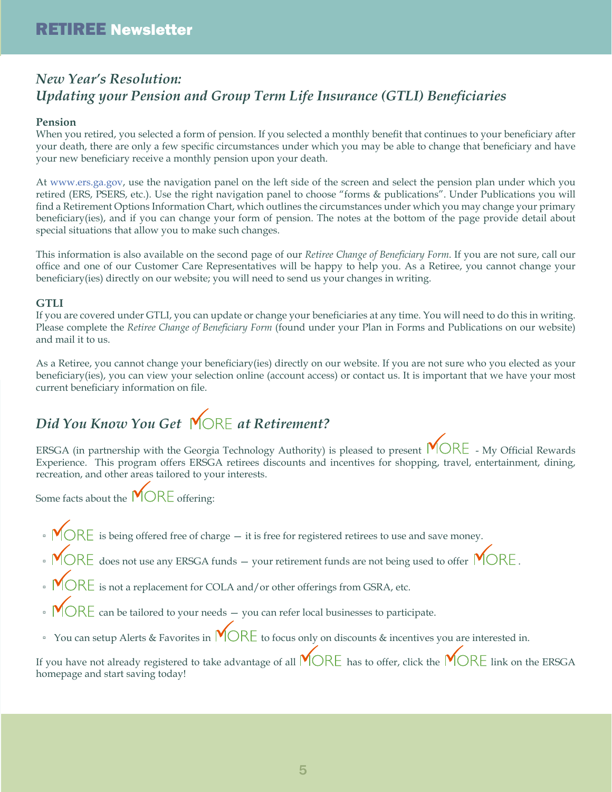# *New Year's Resolution: Updating your Pension and Group Term Life Insurance (GTLI) Beneficiaries*

### **Pension**

When you retired, you selected a form of pension. If you selected a monthly benefit that continues to your beneficiary after your death, there are only a few specific circumstances under which you may be able to change that beneficiary and have your new beneficiary receive a monthly pension upon your death.

At [www.ers.ga.gov,](http://www.ers.ga.gov) use the navigation panel on the left side of the screen and select the pension plan under which you retired (ERS, PSERS, etc.). Use the right navigation panel to choose "forms & publications". Under Publications you will find a Retirement Options Information Chart, which outlines the circumstances under which you may change your primary beneficiary(ies), and if you can change your form of pension. The notes at the bottom of the page provide detail about special situations that allow you to make such changes.

This information is also available on the second page of our *Retiree Change of Beneficiary Form*. If you are not sure, call our office and one of our Customer Care Representatives will be happy to help you. As a Retiree, you cannot change your beneficiary(ies) directly on our website; you will need to send us your changes in writing.

### **GTLI**

If you are covered under GTLI, you can update or change your beneficiaries at any time. You will need to do this in writing. Please complete the *Retiree Change of Beneficiary Form* (found under your Plan in Forms and Publications on our website) and mail it to us.

As a Retiree, you cannot change your beneficiary(ies) directly on our website. If you are not sure who you elected as your beneficiary(ies), you can view your selection online (account access) or contact us. It is important that we have your most current beneficiary information on file.

# *Did You Know You Get* MORE at Retirement?

ERSGA (in partnership with the Georgia Technology Authority) is pleased to present  $\mathsf{M} \mathsf{ORE}$  - My Official Rewards Experience. This program offers ERSGA retirees discounts and incentives for shopping, travel, entertainment, dining, recreation, and other areas tailored to your interests.

Some facts about the  $MORE$  offering:

- $\text{MORE}$  is being offered free of charge it is free for registered retirees to use and save money.
- $\cdot$   $\text{MORE}$  does not use any ERSGA funds your retirement funds are not being used to offer  $\text{MORE}$ .
- $\bullet$   $\mathsf{M} \mathsf{ORE}$  is not a replacement for COLA and/or other offerings from GSRA, etc.
- $\cdot$   $\textsf{MORE}$  can be tailored to your needs you can refer local businesses to participate.
- □ You can setup Alerts & Favorites in  $\mathsf{MORE}$  to focus only on discounts & incentives you are interested in.

If you have not already registered to take advantage of all  $\mathsf{M} \mathsf{OR} \mathsf{E}$  has to offer, click the  $\mathsf{M} \mathsf{OR} \mathsf{E}$  link on the ERSGA homepage and start saving today!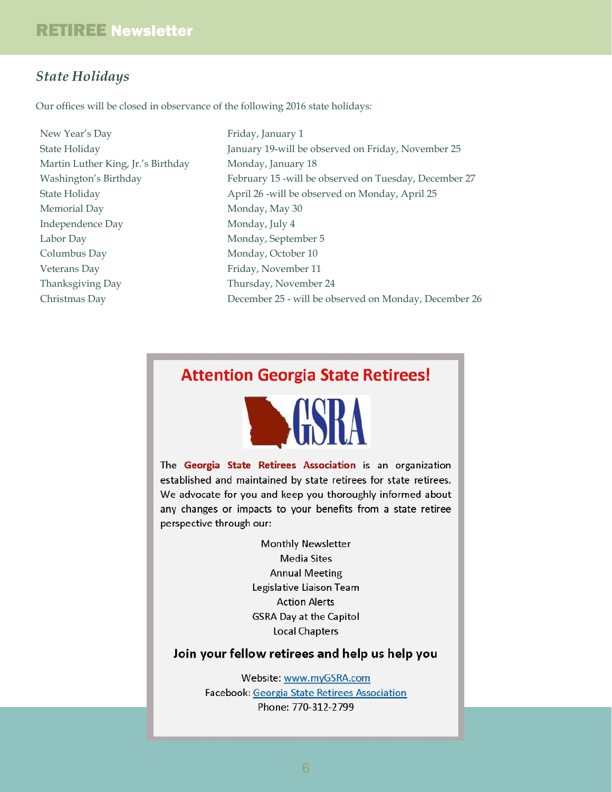### *State Holidays*

Our offices will be closed in observance of the following 2016 state holidays:

New Year's Day State Holiday Martin Luther King, Jr.'s Birthday Washington's Birthday State Holiday Memorial Day Independence Day Labor Day Columbus Day Veterans Day Thanksgiving Day Christmas Day

Friday, January 1 January 19-will be observed on Friday, November 25 Monday, January 18 February 15 -will be observed on Tuesday, December 27 April 26 -will be observed on Monday, April 25 Monday, May 30 Monday, July 4 Monday, September 5 Monday, October 10 Friday, November 11 Thursday, November 24 December 25 - will be observed on Monday, December 26

# **Attention Georgia State Retirees!**



The Georgia State Retirees Association is an organization established and maintained by state retirees for state retirees. We advocate for you and keep you thoroughly informed about any changes or impacts to your benefits from a state retiree perspective through our:

> **Monthly Newsletter Media Sites Annual Meeting** Legislative Liaison Team **Action Alerts GSRA Day at the Capitol Local Chapters**

### Join your fellow retirees and help us help you

Website: www.myGSRA.com Facebook: Georgia State Retirees Association Phone: 770-312-2799